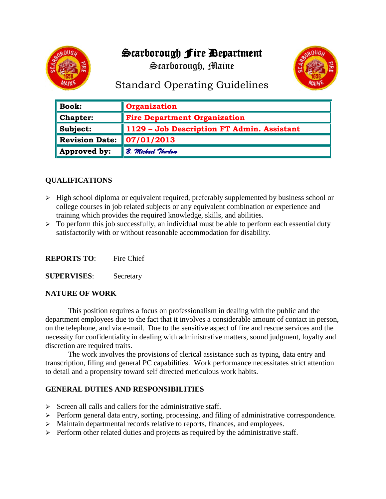# Scarborough Fire Department

Scarborough, Maine



# Standard Operating Guidelines

| $\parallel$ Book: | Organization                               |
|-------------------|--------------------------------------------|
| $\ $ Chapter:     | <b>Fire Department Organization</b>        |
| $\ $ Subject:     | 1129 - Job Description FT Admin. Assistant |
| Revision Date:    | 07/01/2013                                 |
| Approved by:      | B. Michael Thurlow                         |

## **QUALIFICATIONS**

- $\triangleright$  High school diploma or equivalent required, preferably supplemented by business school or college courses in job related subjects or any equivalent combination or experience and training which provides the required knowledge, skills, and abilities.
- $\triangleright$  To perform this job successfully, an individual must be able to perform each essential duty satisfactorily with or without reasonable accommodation for disability.

| <b>REPORTS TO:</b> | Fire Chief |
|--------------------|------------|
|--------------------|------------|

**SUPERVISES**: Secretary

#### **NATURE OF WORK**

This position requires a focus on professionalism in dealing with the public and the department employees due to the fact that it involves a considerable amount of contact in person, on the telephone, and via e-mail. Due to the sensitive aspect of fire and rescue services and the necessity for confidentiality in dealing with administrative matters, sound judgment, loyalty and discretion are required traits.

The work involves the provisions of clerical assistance such as typing, data entry and transcription, filing and general PC capabilities. Work performance necessitates strict attention to detail and a propensity toward self directed meticulous work habits.

#### **GENERAL DUTIES AND RESPONSIBILITIES**

- $\triangleright$  Screen all calls and callers for the administrative staff.
- $\triangleright$  Perform general data entry, sorting, processing, and filing of administrative correspondence.
- $\triangleright$  Maintain departmental records relative to reports, finances, and employees.
- ➢ Perform other related duties and projects as required by the administrative staff.